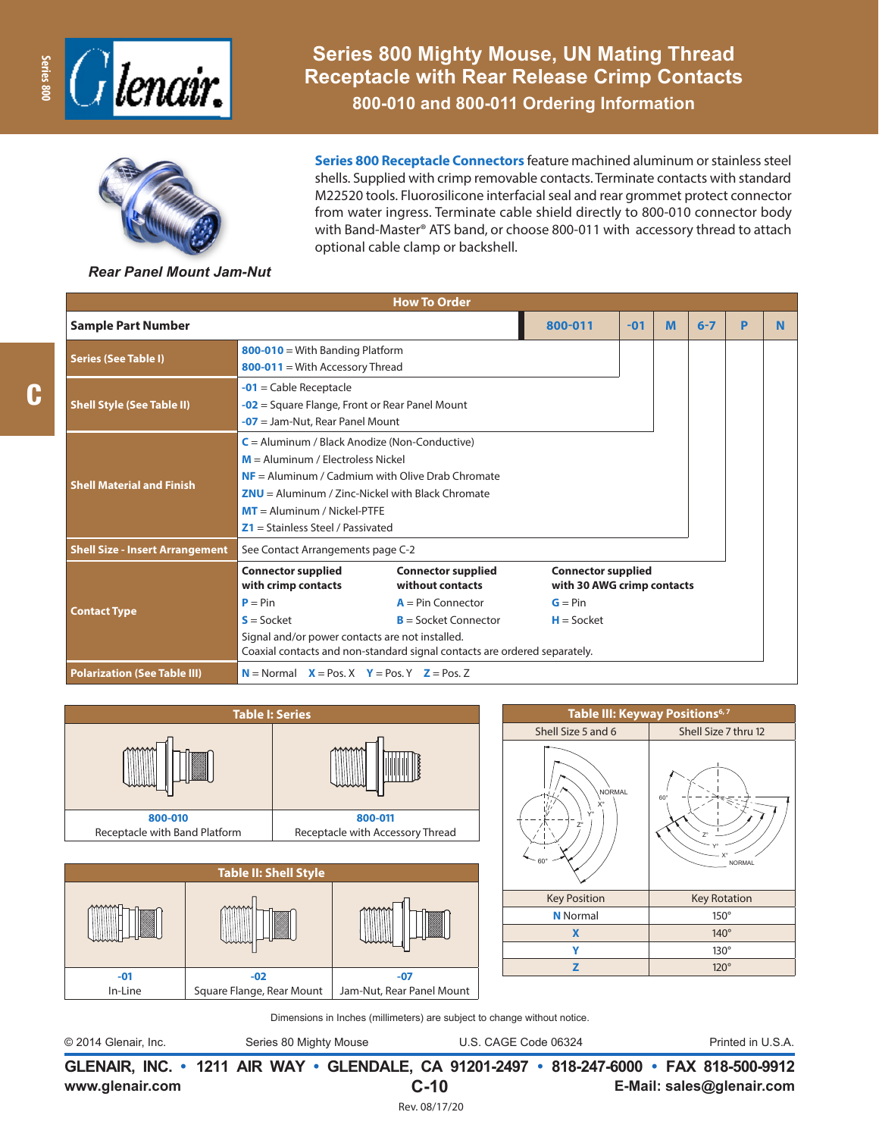



C

**Series 800 Mighty Mouse, UN Mating Thread Receptacle with Rear Release Crimp Contacts**

**800-010 and 800-011 Ordering Information**

**Series 800 Receptacle Connectors** feature machined aluminum or stainless steel shells. Supplied with crimp removable contacts. Terminate contacts with standard M22520 tools. Fluorosilicone interfacial seal and rear grommet protect connector from water ingress. Terminate cable shield directly to 800-010 connector body with Band-Master® ATS band, or choose 800-011 with accessory thread to attach optional cable clamp or backshell.

#### *Rear Panel Mount Jam-Nut*

|                                        |                                                                                                                                                                                                                                                                                                                                                                                                           | <b>How To Order</b>                                                                                                                                                                                                                                                        |   |         |   |   |  |  |  |
|----------------------------------------|-----------------------------------------------------------------------------------------------------------------------------------------------------------------------------------------------------------------------------------------------------------------------------------------------------------------------------------------------------------------------------------------------------------|----------------------------------------------------------------------------------------------------------------------------------------------------------------------------------------------------------------------------------------------------------------------------|---|---------|---|---|--|--|--|
| <b>Sample Part Number</b>              | 800-011                                                                                                                                                                                                                                                                                                                                                                                                   | $-01$                                                                                                                                                                                                                                                                      | M | $6 - 7$ | P | N |  |  |  |
| <b>Series (See Table I)</b>            |                                                                                                                                                                                                                                                                                                                                                                                                           |                                                                                                                                                                                                                                                                            |   |         |   |   |  |  |  |
| <b>Shell Style (See Table II)</b>      | $-01$ = Cable Receptacle                                                                                                                                                                                                                                                                                                                                                                                  | $-02$ = Square Flange, Front or Rear Panel Mount<br>$-07$ = Jam-Nut, Rear Panel Mount                                                                                                                                                                                      |   |         |   |   |  |  |  |
| <b>Shell Material and Finish</b>       |                                                                                                                                                                                                                                                                                                                                                                                                           | $C =$ Aluminum / Black Anodize (Non-Conductive)<br>$M =$ Aluminum / Electroless Nickel<br>$NF =$ Aluminum / Cadmium with Olive Drab Chromate<br>$ZNU =$ Aluminum / Zinc-Nickel with Black Chromate<br>$MT =$ Aluminum / Nickel-PTFF<br>$Z1 =$ Stainless Steel / Passivated |   |         |   |   |  |  |  |
| <b>Shell Size - Insert Arrangement</b> | See Contact Arrangements page C-2                                                                                                                                                                                                                                                                                                                                                                         |                                                                                                                                                                                                                                                                            |   |         |   |   |  |  |  |
| <b>Contact Type</b>                    | <b>Connector supplied</b><br><b>Connector supplied</b><br><b>Connector supplied</b><br>without contacts<br>with crimp contacts<br>with 30 AWG crimp contacts<br>$P = Pin$<br>$A = Pin Connector$<br>$G = Pin$<br>$S = S$ ocket<br>$B =$ Socket Connector<br>$H = S$ ocket<br>Signal and/or power contacts are not installed.<br>Coaxial contacts and non-standard signal contacts are ordered separately. |                                                                                                                                                                                                                                                                            |   |         |   |   |  |  |  |
| <b>Polarization (See Table III)</b>    | $N =$ Normal $X =$ Pos. X $Y =$ Pos. Y $Z =$ Pos. Z                                                                                                                                                                                                                                                                                                                                                       |                                                                                                                                                                                                                                                                            |   |         |   |   |  |  |  |





| Table III: Keyway Positions <sup>6,7</sup> |                                   |
|--------------------------------------------|-----------------------------------|
| Shell Size 5 and 6                         | Shell Size 7 thru 12              |
| NORMAL<br>X°<br>$Z^{\circ}$<br>60          | $60^\circ$<br>7°<br><b>NORMAL</b> |
| <b>Key Position</b>                        | <b>Key Rotation</b>               |
| <b>N</b> Normal                            | $150^\circ$                       |
| X                                          | $140^\circ$                       |
| Υ                                          | $130^\circ$                       |
| z                                          | $120^\circ$                       |
|                                            |                                   |

Dimensions in Inches (millimeters) are subject to change without notice.

**GLENAIR, INC. • 1211 AIR WAY • GLENDALE, CA 91201-2497 • 818-247-6000 • FAX 818-500-9912** © 2014 Glenair, Inc. Series 80 Mighty Mouse U.S. CAGE Code 06324 Printed in U.S.A.

**C-10**

Rev. 08/17/20

**www.glenair.com E-Mail: sales@glenair.com**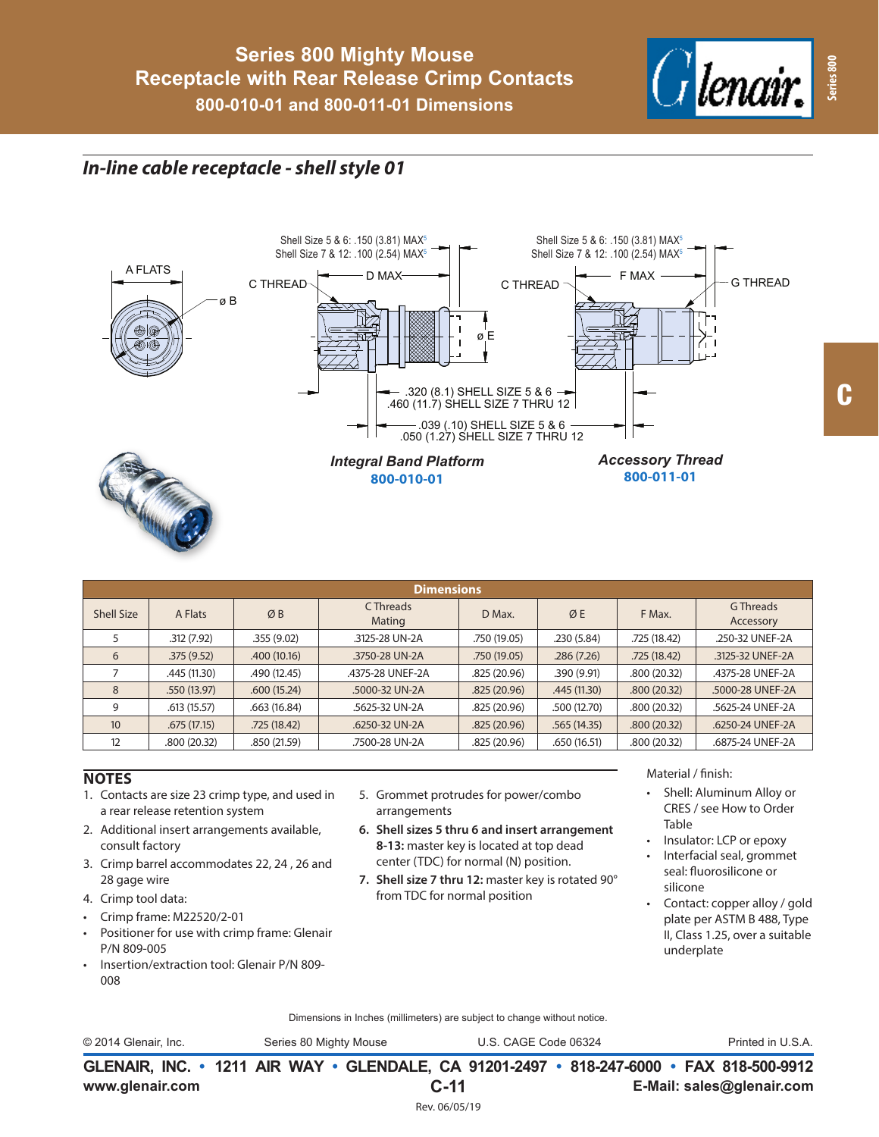

# *In-line cable receptacle - shell style 01*



| <b>Dimensions</b> |              |              |                     |              |             |              |                        |  |  |
|-------------------|--------------|--------------|---------------------|--------------|-------------|--------------|------------------------|--|--|
| <b>Shell Size</b> | A Flats      | ØB           | C Threads<br>Mating | D Max.       | ØE          | F Max.       | G Threads<br>Accessory |  |  |
|                   | .312(7.92)   | .355(9.02)   | .3125-28 UN-2A      | .750 (19.05) | .230 (5.84) | .725 (18.42) | .250-32 UNEF-2A        |  |  |
| 6                 | .375(9.52)   | .400(10.16)  | .3750-28 UN-2A      | .750(19.05)  | .286(7.26)  | .725(18.42)  | .3125-32 UNEF-2A       |  |  |
|                   | .445 (11.30) | .490 (12.45) | .4375-28 UNEF-2A    | .825(20.96)  | .390(9.91)  | .800(20.32)  | .4375-28 UNEF-2A       |  |  |
| 8                 | .550(13.97)  | .600(15.24)  | .5000-32 UN-2A      | .825(20.96)  | .445(11.30) | .800(20.32)  | .5000-28 UNEF-2A       |  |  |
| 9                 | .613(15.57)  | .663(16.84)  | .5625-32 UN-2A      | .825(20.96)  | .500(12.70) | .800(20.32)  | .5625-24 UNEF-2A       |  |  |
| 10                | .675(17.15)  | .725(18.42)  | .6250-32 UN-2A      | .825(20.96)  | .565(14.35) | .800(20.32)  | .6250-24 UNEF-2A       |  |  |
| 12                | .800(20.32)  | .850 (21.59) | .7500-28 UN-2A      | .825(20.96)  | .650(16.51) | .800 (20.32) | .6875-24 UNEF-2A       |  |  |

### **NOTES**

- 1. Contacts are size 23 crimp type, and used in a rear release retention system
- 2. Additional insert arrangements available, consult factory
- 3. Crimp barrel accommodates 22, 24 , 26 and 28 gage wire
- 4. Crimp tool data:
- Crimp frame: M22520/2-01
- Positioner for use with crimp frame: Glenair P/N 809-005
- Insertion/extraction tool: Glenair P/N 809- 008
- 5. Grommet protrudes for power/combo arrangements
- **6. Shell sizes 5 thru 6 and insert arrangement 8-13:** master key is located at top dead center (TDC) for normal (N) position.
- **7. Shell size 7 thru 12:** master key is rotated 90° from TDC for normal position

Material / finish:

- Shell: Aluminum Alloy or CRES / see How to Order Table
- Insulator: LCP or epoxy
- Interfacial seal, grommet seal: fluorosilicone or silicone
- Contact: copper alloy / gold plate per ASTM B 488, Type II, Class 1.25, over a suitable underplate

Dimensions in Inches (millimeters) are subject to change without notice.

© 2014 Glenair, Inc. Series 80 Mighty Mouse U.S. CAGE Code 06324 Printed in U.S.A.

**www.glenair.com E-Mail: sales@glenair.com GLENAIR, INC. • 1211 AIR WAY • GLENDALE, CA 91201-2497 • 818-247-6000 • FAX 818-500-9912 C-11** Rev. 06/05/19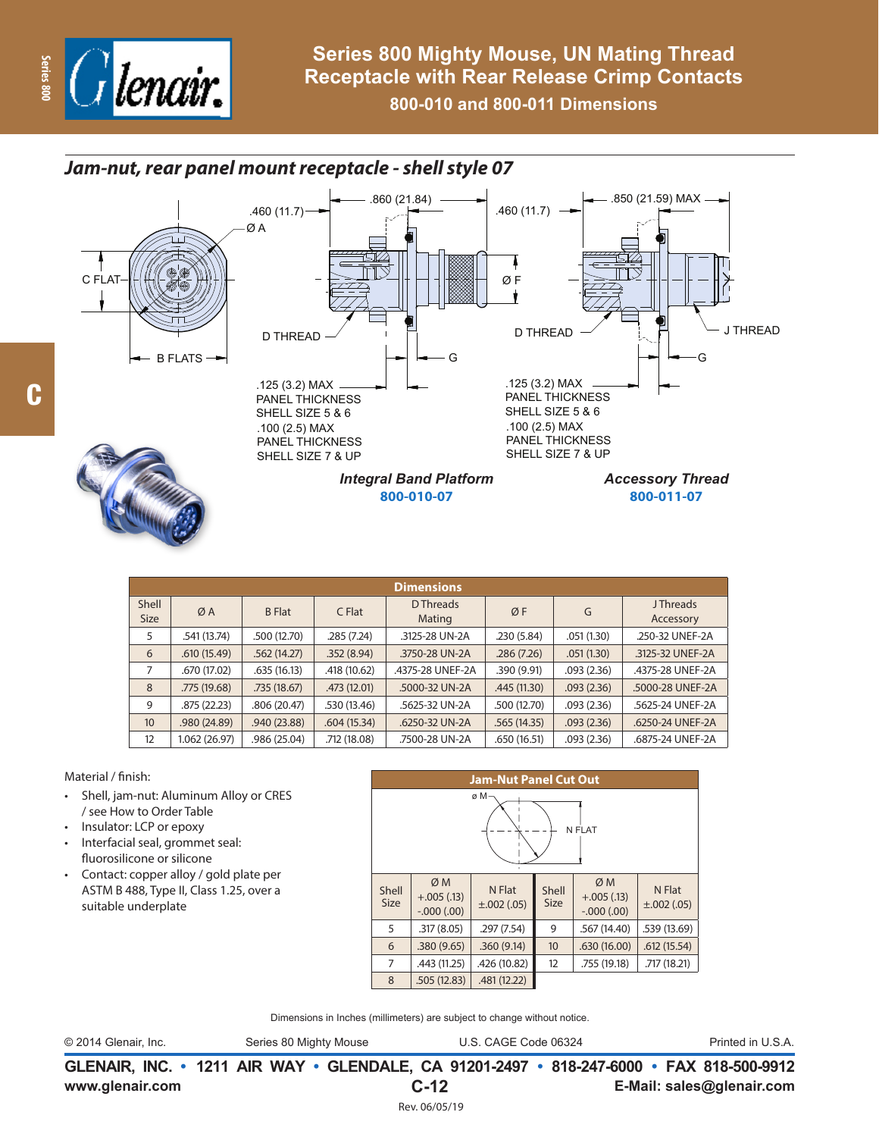

## *Jam-nut, rear panel mount receptacle - shell style 07*







| <b>Integral Band Platform</b> |
|-------------------------------|
| 800-010-07                    |

.860 (21.84)

**800-011-07**

.850 (21.59) MAX

| <b>Dimensions</b>    |              |               |              |                     |              |            |                              |  |  |
|----------------------|--------------|---------------|--------------|---------------------|--------------|------------|------------------------------|--|--|
| Shell<br><b>Size</b> | ØA           | <b>B</b> Flat | C Flat       | D Threads<br>Mating | ØF           | G          | <b>JThreads</b><br>Accessory |  |  |
| 5                    | .541 (13.74) | .500 (12.70)  | .285 (7.24)  | .3125-28 UN-2A      | .230(5.84)   | .051(1.30) | .250-32 UNEF-2A              |  |  |
| 6                    | .610(15.49)  | .562(14.27)   | .352(8.94)   | .3750-28 UN-2A      | .286(7.26)   | .051(1.30) | .3125-32 UNEF-2A             |  |  |
| 7                    | .670 (17.02) | .635(16.13)   | .418 (10.62) | .4375-28 UNEF-2A    | .390 (9.91)  | .093(2.36) | .4375-28 UNEF-2A             |  |  |
| 8                    | .775 (19.68) | .735(18.67)   | .473(12.01)  | .5000-32 UN-2A      | .445(11.30)  | .093(2.36) | .5000-28 UNEF-2A             |  |  |
| 9                    | .875(22.23)  | .806 (20.47)  | .530 (13.46) | .5625-32 UN-2A      | .500 (12.70) | .093(2.36) | .5625-24 UNEF-2A             |  |  |
| 10 <sup>°</sup>      | .980 (24.89) | .940 (23.88)  | .604(15.34)  | .6250-32 UN-2A      | .565(14.35)  | .093(2.36) | .6250-24 UNEF-2A             |  |  |
| 12                   | 1.062(26.97) | .986 (25.04)  | .712 (18.08) | .7500-28 UN-2A      | .650 (16.51) | .093(2.36) | .6875-24 UNEF-2A             |  |  |

### Material / finish:

- Shell, jam-nut: Aluminum Alloy or CRES / see How to Order Table
- Insulator: LCP or epoxy
- Interfacial seal, grommet seal: fluorosilicone or silicone
- Contact: copper alloy / gold plate per ASTM B 488, Type II, Class 1.25, over a suitable underplate

| <b>Jam-Nut Panel Cut Out</b> |                                                                  |              |                      |                                    |                            |  |  |  |  |
|------------------------------|------------------------------------------------------------------|--------------|----------------------|------------------------------------|----------------------------|--|--|--|--|
| øΜ<br>N FLAT                 |                                                                  |              |                      |                                    |                            |  |  |  |  |
| Shell<br><b>Size</b>         | ØM<br>N Flat<br>$+.005(.13)$<br>$\pm .002$ (.05)<br>$-000(0.00)$ |              | Shell<br><b>Size</b> | ØM<br>$+.005(.13)$<br>$-.000(.00)$ | N Flat<br>$\pm .002$ (.05) |  |  |  |  |
| 5                            | .317(8.05)                                                       | .297(7.54)   | 9                    | .567 (14.40)                       | .539 (13.69)               |  |  |  |  |
| 6                            | .380(9.65)                                                       | .360(9.14)   | 10                   | .630(16.00)                        | .612(15.54)                |  |  |  |  |
| 7                            | .443 (11.25)                                                     | .426 (10.82) | 12                   | .755 (19.18)                       | .717 (18.21)               |  |  |  |  |
| 8                            | .505(12.83)                                                      | .481 (12.22) |                      |                                    |                            |  |  |  |  |

Dimensions in Inches (millimeters) are subject to change without notice.

© 2014 Glenair, Inc. Series 80 Mighty Mouse U.S. CAGE Code 06324 Printed in U.S.A.

**www.glenair.com E-Mail: sales@glenair.com GLENAIR, INC. • 1211 AIR WAY • GLENDALE, CA 91201-2497 • 818-247-6000 • FAX 818-500-9912 C-12** Rev. 06/05/19